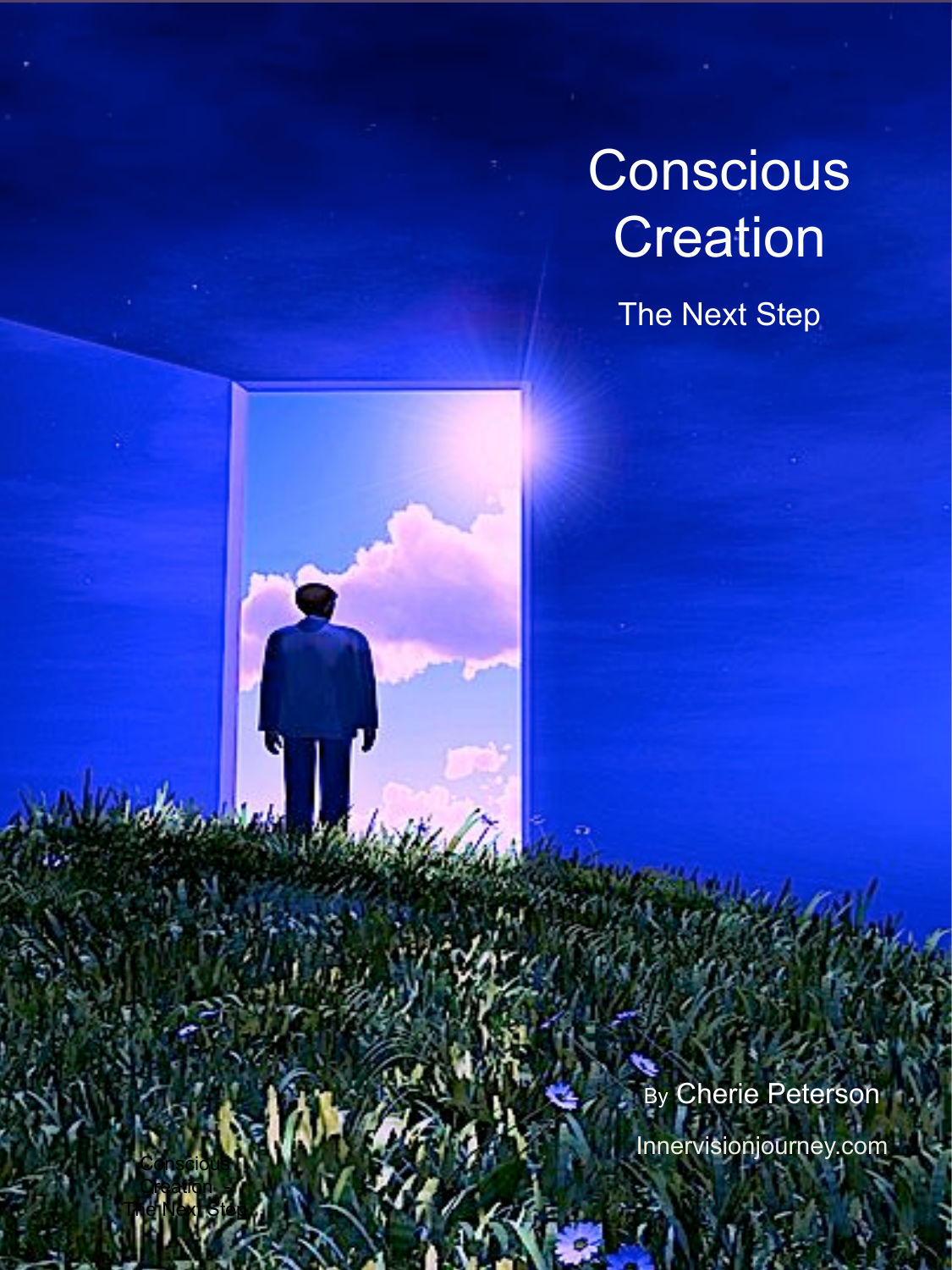# **Conscious Creation**

The Next Step

By Cherie Peterson

Innervisionjourney.com

Creation - **The Next Step**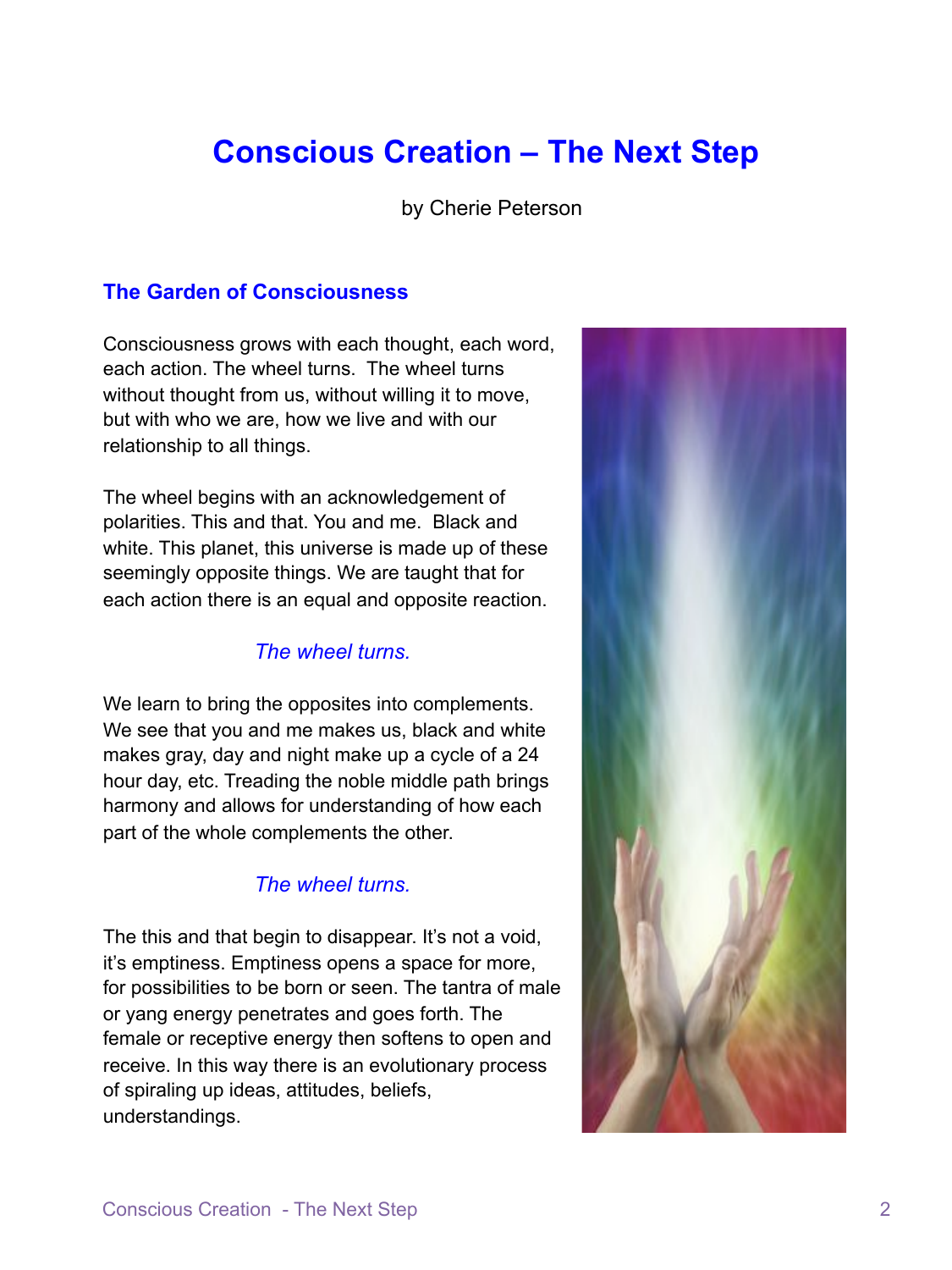# **Conscious Creation – The Next Step**

by Cherie Peterson

# **The Garden of Consciousness**

Consciousness grows with each thought, each word, each action. The wheel turns. The wheel turns without thought from us, without willing it to move, but with who we are, how we live and with our relationship to all things.

The wheel begins with an acknowledgement of polarities. This and that. You and me. Black and white. This planet, this universe is made up of these seemingly opposite things. We are taught that for each action there is an equal and opposite reaction.

# *The wheel turns.*

We learn to bring the opposites into complements. We see that you and me makes us, black and white makes gray, day and night make up a cycle of a 24 hour day, etc. Treading the noble middle path brings harmony and allows for understanding of how each part of the whole complements the other.

# *The wheel turns.*

The this and that begin to disappear. It's not a void, it's emptiness. Emptiness opens a space for more, for possibilities to be born or seen. The tantra of male or yang energy penetrates and goes forth. The female or receptive energy then softens to open and receive. In this way there is an evolutionary process of spiraling up ideas, attitudes, beliefs, understandings.

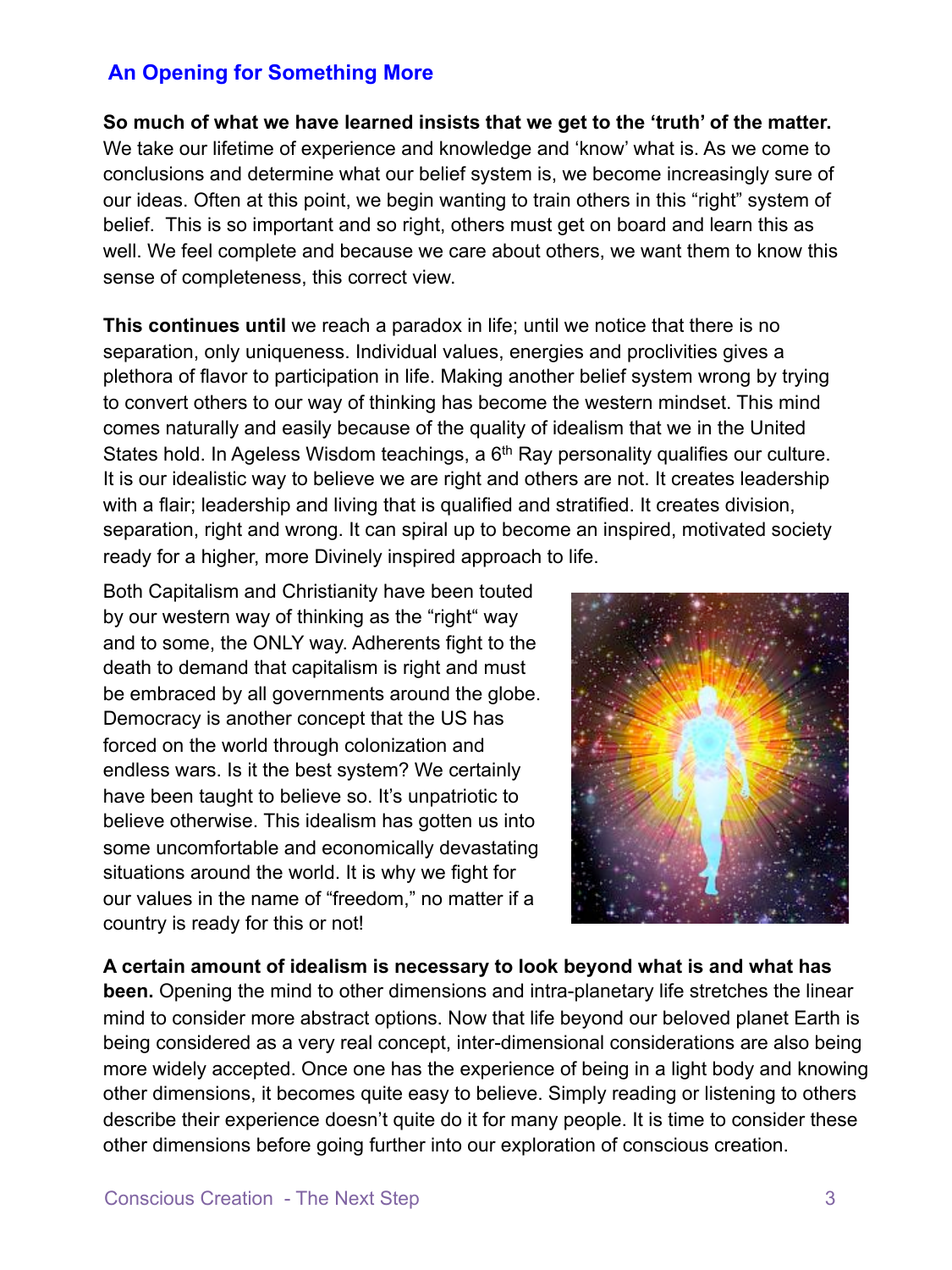# **An Opening for Something More**

**So much of what we have learned insists that we get to the 'truth' of the matter.** 

We take our lifetime of experience and knowledge and 'know' what is. As we come to conclusions and determine what our belief system is, we become increasingly sure of our ideas. Often at this point, we begin wanting to train others in this "right" system of belief. This is so important and so right, others must get on board and learn this as well. We feel complete and because we care about others, we want them to know this sense of completeness, this correct view.

**This continues until** we reach a paradox in life; until we notice that there is no separation, only uniqueness. Individual values, energies and proclivities gives a plethora of flavor to participation in life. Making another belief system wrong by trying to convert others to our way of thinking has become the western mindset. This mind comes naturally and easily because of the quality of idealism that we in the United States hold. In Ageless Wisdom teachings, a  $6<sup>th</sup>$  Ray personality qualifies our culture. It is our idealistic way to believe we are right and others are not. It creates leadership with a flair; leadership and living that is qualified and stratified. It creates division, separation, right and wrong. It can spiral up to become an inspired, motivated society ready for a higher, more Divinely inspired approach to life.

Both Capitalism and Christianity have been touted by our western way of thinking as the "right" way and to some, the ONLY way. Adherents fight to the death to demand that capitalism is right and must be embraced by all governments around the globe. Democracy is another concept that the US has forced on the world through colonization and endless wars. Is it the best system? We certainly have been taught to believe so. It's unpatriotic to believe otherwise. This idealism has gotten us into some uncomfortable and economically devastating situations around the world. It is why we fight for our values in the name of "freedom," no matter if a country is ready for this or not!



**A certain amount of idealism is necessary to look beyond what is and what has been.** Opening the mind to other dimensions and intra-planetary life stretches the linear mind to consider more abstract options. Now that life beyond our beloved planet Earth is being considered as a very real concept, inter-dimensional considerations are also being more widely accepted. Once one has the experience of being in a light body and knowing other dimensions, it becomes quite easy to believe. Simply reading or listening to others describe their experience doesn't quite do it for many people. It is time to consider these other dimensions before going further into our exploration of conscious creation.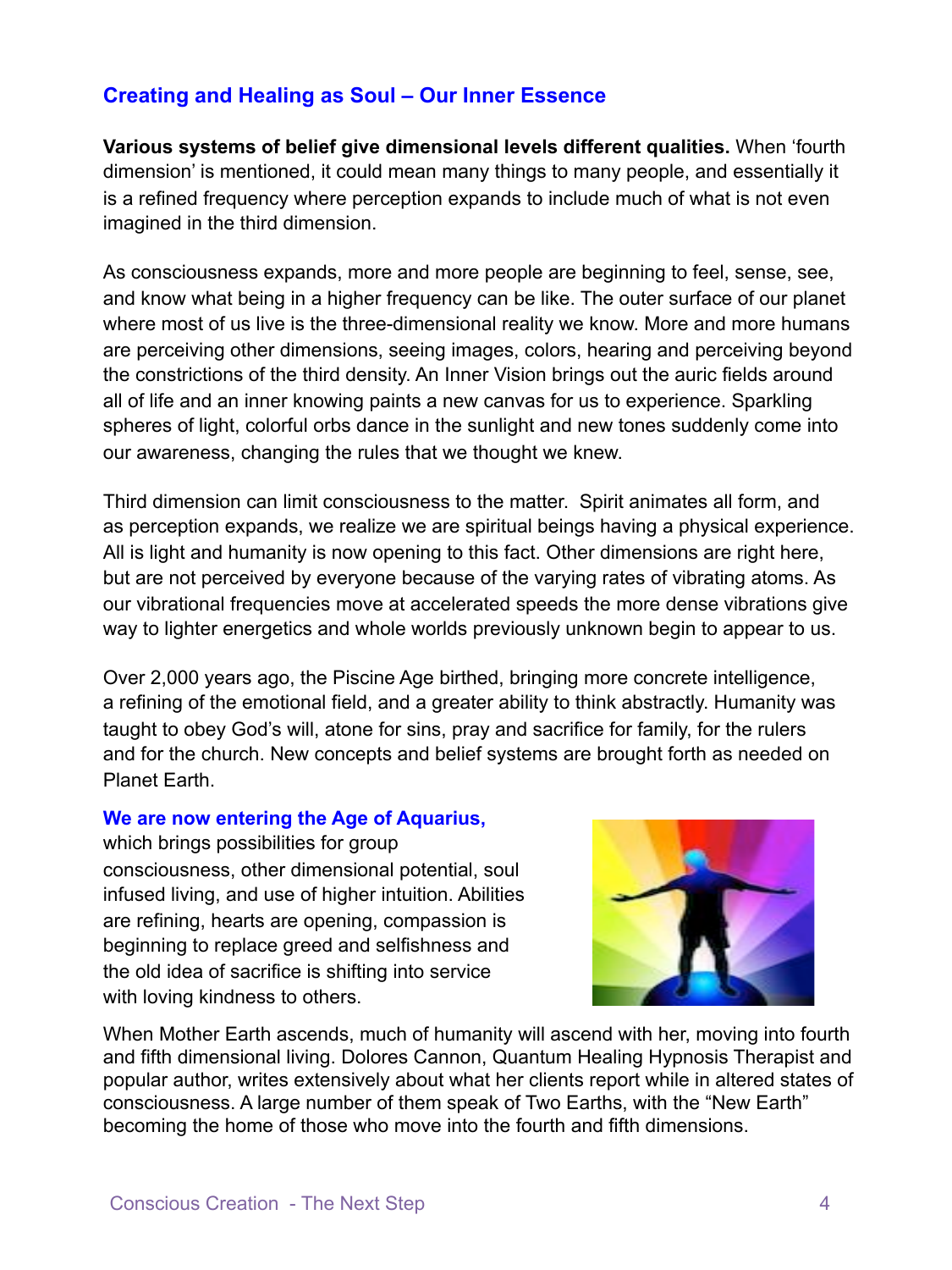# **Creating and Healing as Soul – Our Inner Essence**

**Various systems of belief give dimensional levels different qualities.** When 'fourth dimension' is mentioned, it could mean many things to many people, and essentially it is a refined frequency where perception expands to include much of what is not even imagined in the third dimension.

As consciousness expands, more and more people are beginning to feel, sense, see, and know what being in a higher frequency can be like. The outer surface of our planet where most of us live is the three-dimensional reality we know. More and more humans are perceiving other dimensions, seeing images, colors, hearing and perceiving beyond the constrictions of the third density. An Inner Vision brings out the auric fields around all of life and an inner knowing paints a new canvas for us to experience. Sparkling spheres of light, colorful orbs dance in the sunlight and new tones suddenly come into our awareness, changing the rules that we thought we knew.

Third dimension can limit consciousness to the matter. Spirit animates all form, and as perception expands, we realize we are spiritual beings having a physical experience. All is light and humanity is now opening to this fact. Other dimensions are right here, but are not perceived by everyone because of the varying rates of vibrating atoms. As our vibrational frequencies move at accelerated speeds the more dense vibrations give way to lighter energetics and whole worlds previously unknown begin to appear to us.

Over 2,000 years ago, the Piscine Age birthed, bringing more concrete intelligence, a refining of the emotional field, and a greater ability to think abstractly. Humanity was taught to obey God's will, atone for sins, pray and sacrifice for family, for the rulers and for the church. New concepts and belief systems are brought forth as needed on Planet Earth.

#### **We are now entering the Age of Aquarius,**

which brings possibilities for group consciousness, other dimensional potential, soul infused living, and use of higher intuition. Abilities are refining, hearts are opening, compassion is beginning to replace greed and selfishness and the old idea of sacrifice is shifting into service with loving kindness to others.



When Mother Earth ascends, much of humanity will ascend with her, moving into fourth and fifth dimensional living. Dolores Cannon, Quantum Healing Hypnosis Therapist and popular author, writes extensively about what her clients report while in altered states of consciousness. A large number of them speak of Two Earths, with the "New Earth" becoming the home of those who move into the fourth and fifth dimensions.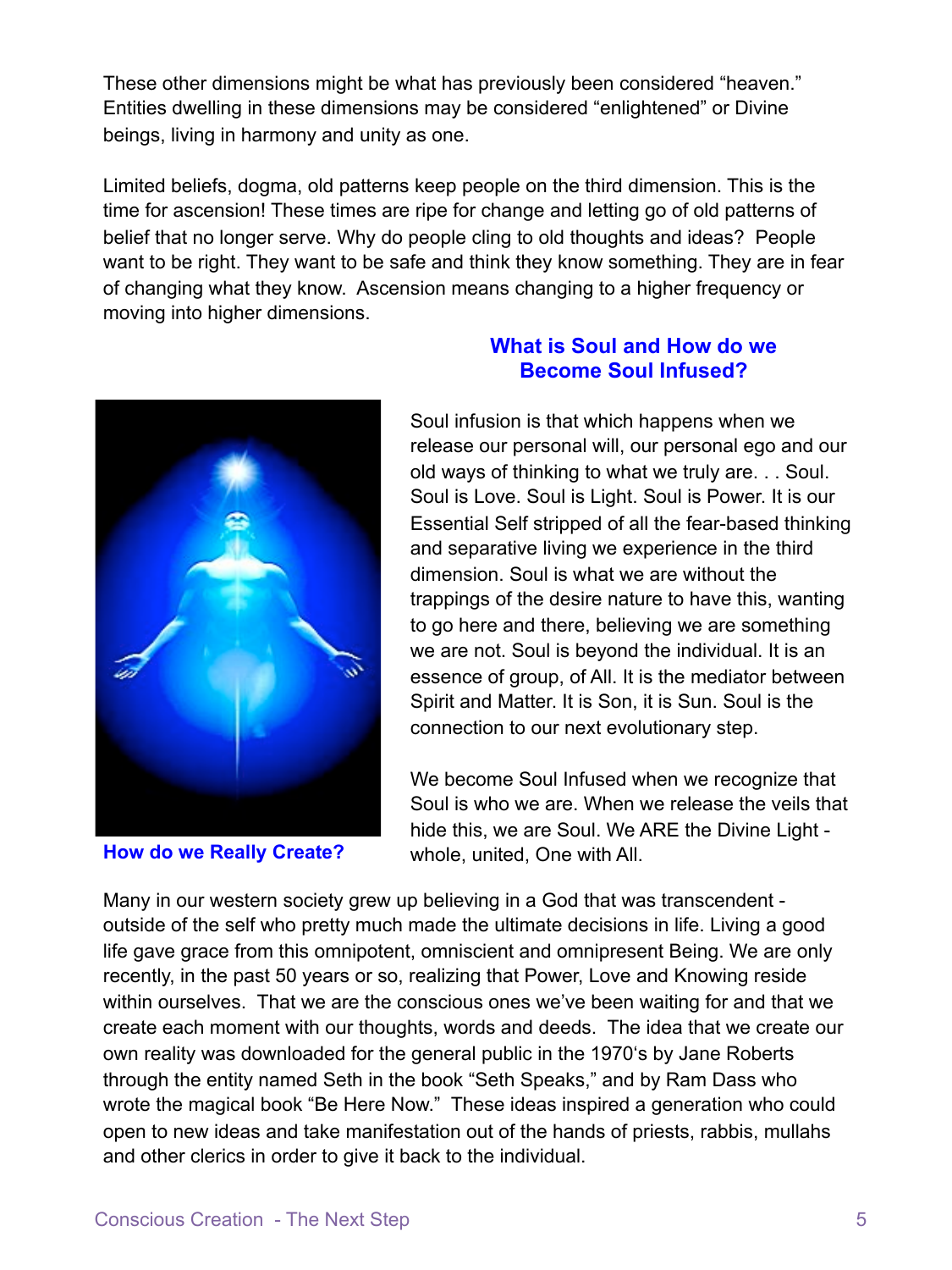These other dimensions might be what has previously been considered "heaven." Entities dwelling in these dimensions may be considered "enlightened" or Divine beings, living in harmony and unity as one.

Limited beliefs, dogma, old patterns keep people on the third dimension. This is the time for ascension! These times are ripe for change and letting go of old patterns of belief that no longer serve. Why do people cling to old thoughts and ideas? People want to be right. They want to be safe and think they know something. They are in fear of changing what they know. Ascension means changing to a higher frequency or moving into higher dimensions.



# **What is Soul and How do we Become Soul Infused?**

Soul infusion is that which happens when we release our personal will, our personal ego and our old ways of thinking to what we truly are. . . Soul. Soul is Love. Soul is Light. Soul is Power. It is our Essential Self stripped of all the fear-based thinking and separative living we experience in the third dimension. Soul is what we are without the trappings of the desire nature to have this, wanting to go here and there, believing we are something we are not. Soul is beyond the individual. It is an essence of group, of All. It is the mediator between Spirit and Matter. It is Son, it is Sun. Soul is the connection to our next evolutionary step.

We become Soul Infused when we recognize that Soul is who we are. When we release the veils that hide this, we are Soul. We ARE the Divine Light - **How do we Really Create?** whole, united, One with All.

Many in our western society grew up believing in a God that was transcendent outside of the self who pretty much made the ultimate decisions in life. Living a good life gave grace from this omnipotent, omniscient and omnipresent Being. We are only recently, in the past 50 years or so, realizing that Power, Love and Knowing reside within ourselves. That we are the conscious ones we've been waiting for and that we create each moment with our thoughts, words and deeds. The idea that we create our own reality was downloaded for the general public in the 1970's by Jane Roberts through the entity named Seth in the book "Seth Speaks," and by Ram Dass who wrote the magical book "Be Here Now." These ideas inspired a generation who could open to new ideas and take manifestation out of the hands of priests, rabbis, mullahs and other clerics in order to give it back to the individual.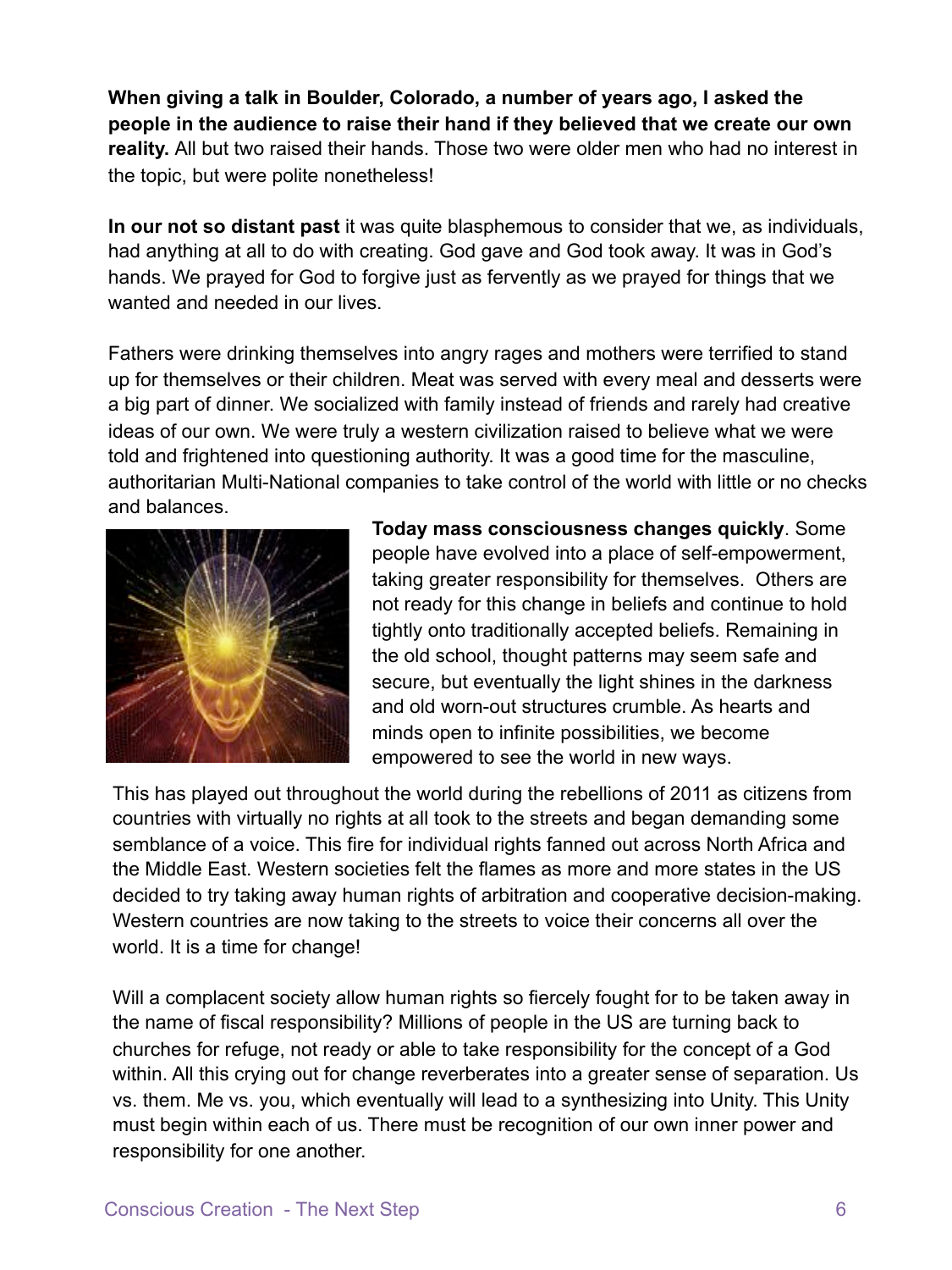**When giving a talk in Boulder, Colorado, a number of years ago, I asked the people in the audience to raise their hand if they believed that we create our own reality.** All but two raised their hands. Those two were older men who had no interest in the topic, but were polite nonetheless!

**In our not so distant past** it was quite blasphemous to consider that we, as individuals, had anything at all to do with creating. God gave and God took away. It was in God's hands. We prayed for God to forgive just as fervently as we prayed for things that we wanted and needed in our lives.

Fathers were drinking themselves into angry rages and mothers were terrified to stand up for themselves or their children. Meat was served with every meal and desserts were a big part of dinner. We socialized with family instead of friends and rarely had creative ideas of our own. We were truly a western civilization raised to believe what we were told and frightened into questioning authority. It was a good time for the masculine, authoritarian Multi-National companies to take control of the world with little or no checks and balances.



**Today mass consciousness changes quickly**. Some people have evolved into a place of self-empowerment, taking greater responsibility for themselves. Others are not ready for this change in beliefs and continue to hold tightly onto traditionally accepted beliefs. Remaining in the old school, thought patterns may seem safe and secure, but eventually the light shines in the darkness and old worn-out structures crumble. As hearts and minds open to infinite possibilities, we become empowered to see the world in new ways.

This has played out throughout the world during the rebellions of 2011 as citizens from countries with virtually no rights at all took to the streets and began demanding some semblance of a voice. This fire for individual rights fanned out across North Africa and the Middle East. Western societies felt the flames as more and more states in the US decided to try taking away human rights of arbitration and cooperative decision-making. Western countries are now taking to the streets to voice their concerns all over the world. It is a time for change!

Will a complacent society allow human rights so fiercely fought for to be taken away in the name of fiscal responsibility? Millions of people in the US are turning back to churches for refuge, not ready or able to take responsibility for the concept of a God within. All this crying out for change reverberates into a greater sense of separation. Us vs. them. Me vs. you, which eventually will lead to a synthesizing into Unity. This Unity must begin within each of us. There must be recognition of our own inner power and responsibility for one another.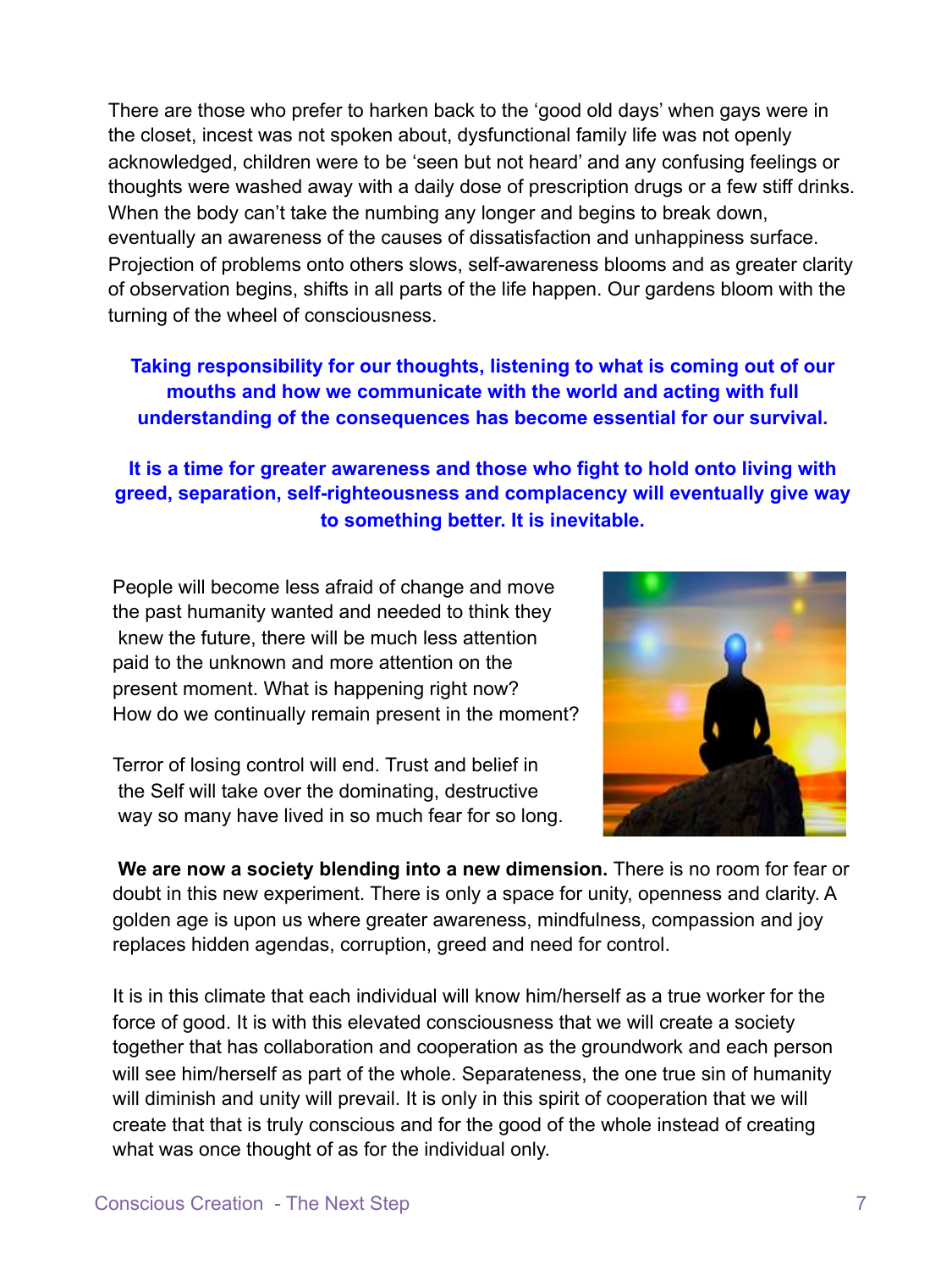There are those who prefer to harken back to the 'good old days' when gays were in the closet, incest was not spoken about, dysfunctional family life was not openly acknowledged, children were to be 'seen but not heard' and any confusing feelings or thoughts were washed away with a daily dose of prescription drugs or a few stiff drinks. When the body can't take the numbing any longer and begins to break down, eventually an awareness of the causes of dissatisfaction and unhappiness surface. Projection of problems onto others slows, self-awareness blooms and as greater clarity of observation begins, shifts in all parts of the life happen. Our gardens bloom with the turning of the wheel of consciousness.

# **Taking responsibility for our thoughts, listening to what is coming out of our mouths and how we communicate with the world and acting with full understanding of the consequences has become essential for our survival.**

# **It is a time for greater awareness and those who fight to hold onto living with greed, separation, self-righteousness and complacency will eventually give way to something better. It is inevitable.**

People will become less afraid of change and move the past humanity wanted and needed to think they knew the future, there will be much less attention paid to the unknown and more attention on the present moment. What is happening right now? How do we continually remain present in the moment?

Terror of losing control will end. Trust and belief in the Self will take over the dominating, destructive way so many have lived in so much fear for so long.



 **We are now a society blending into a new dimension.** There is no room for fear or doubt in this new experiment. There is only a space for unity, openness and clarity. A golden age is upon us where greater awareness, mindfulness, compassion and joy replaces hidden agendas, corruption, greed and need for control.

It is in this climate that each individual will know him/herself as a true worker for the force of good. It is with this elevated consciousness that we will create a society together that has collaboration and cooperation as the groundwork and each person will see him/herself as part of the whole. Separateness, the one true sin of humanity will diminish and unity will prevail. It is only in this spirit of cooperation that we will create that that is truly conscious and for the good of the whole instead of creating what was once thought of as for the individual only.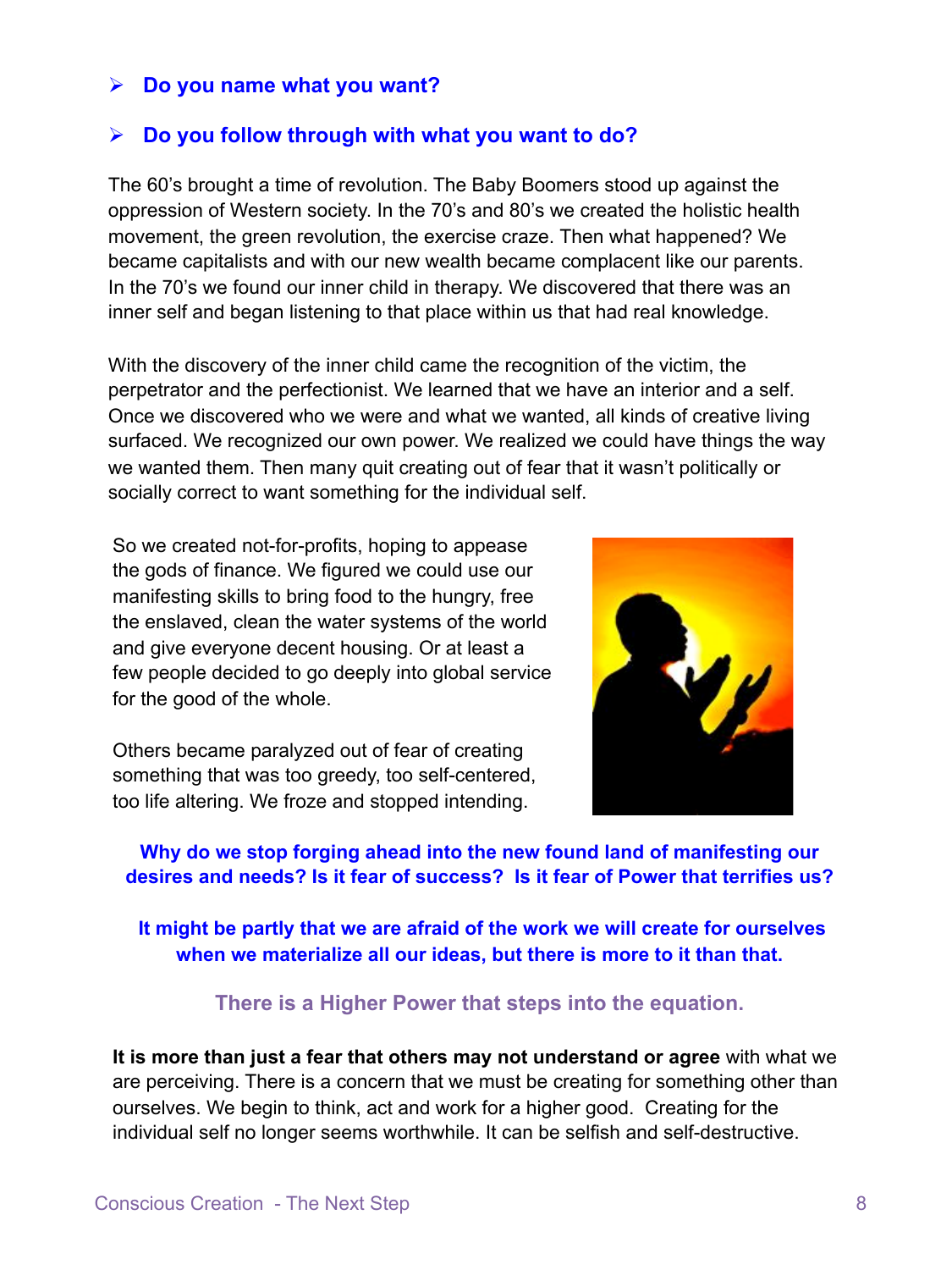## ! **Do you name what you want?**

#### ! **Do you follow through with what you want to do?**

The 60's brought a time of revolution. The Baby Boomers stood up against the oppression of Western society. In the 70's and 80's we created the holistic health movement, the green revolution, the exercise craze. Then what happened? We became capitalists and with our new wealth became complacent like our parents. In the 70's we found our inner child in therapy. We discovered that there was an inner self and began listening to that place within us that had real knowledge.

With the discovery of the inner child came the recognition of the victim, the perpetrator and the perfectionist. We learned that we have an interior and a self. Once we discovered who we were and what we wanted, all kinds of creative living surfaced. We recognized our own power. We realized we could have things the way we wanted them. Then many quit creating out of fear that it wasn't politically or socially correct to want something for the individual self.

So we created not-for-profits, hoping to appease the gods of finance. We figured we could use our manifesting skills to bring food to the hungry, free the enslaved, clean the water systems of the world and give everyone decent housing. Or at least a few people decided to go deeply into global service for the good of the whole.

Others became paralyzed out of fear of creating something that was too greedy, too self-centered, too life altering. We froze and stopped intending.



**Why do we stop forging ahead into the new found land of manifesting our desires and needs? Is it fear of success? Is it fear of Power that terrifies us?** 

 **It might be partly that we are afraid of the work we will create for ourselves when we materialize all our ideas, but there is more to it than that.** 

#### **There is a Higher Power that steps into the equation.**

**It is more than just a fear that others may not understand or agree** with what we are perceiving. There is a concern that we must be creating for something other than ourselves. We begin to think, act and work for a higher good. Creating for the individual self no longer seems worthwhile. It can be selfish and self-destructive.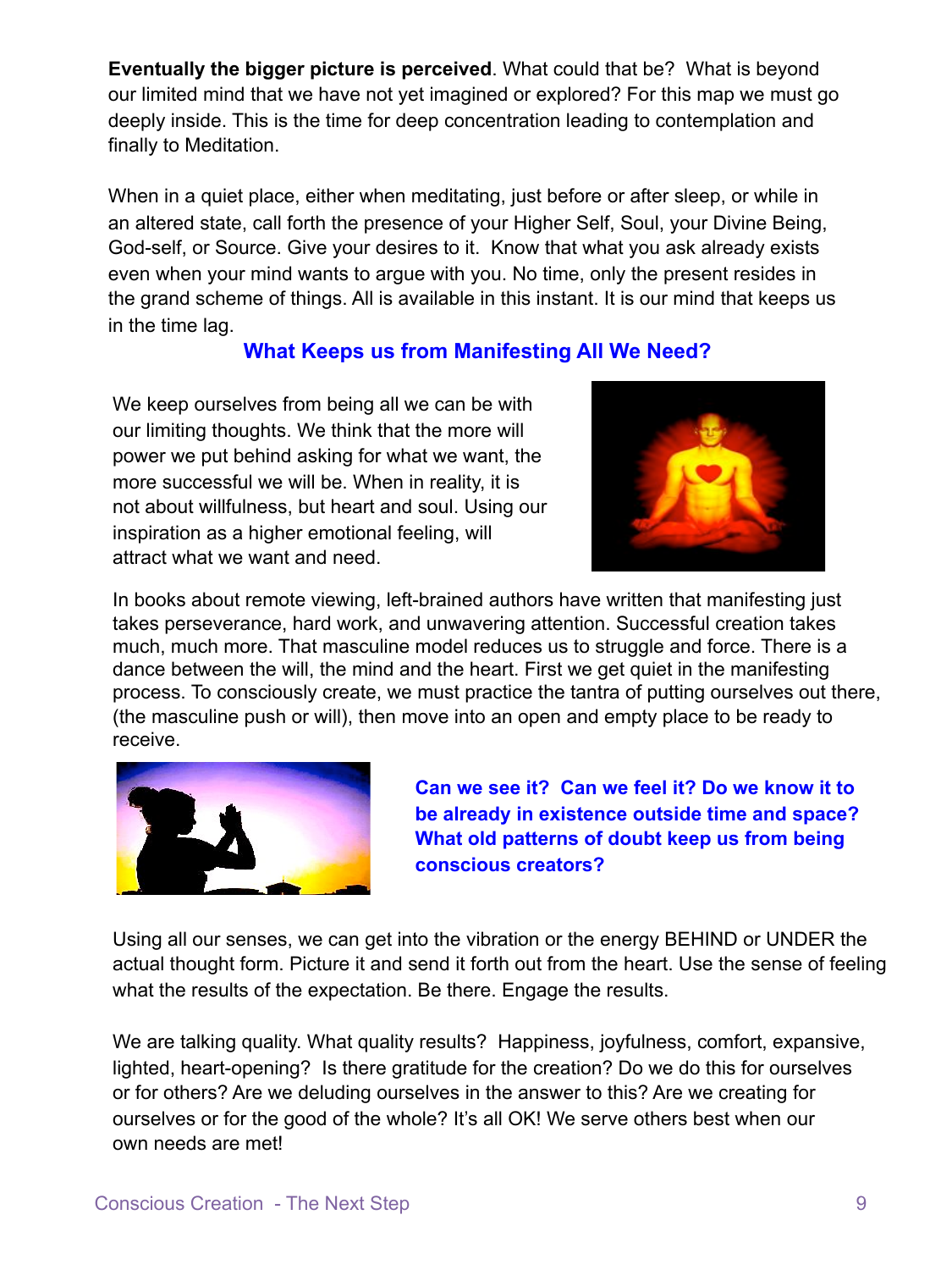**Eventually the bigger picture is perceived**. What could that be? What is beyond our limited mind that we have not yet imagined or explored? For this map we must go deeply inside. This is the time for deep concentration leading to contemplation and finally to Meditation.

When in a quiet place, either when meditating, just before or after sleep, or while in an altered state, call forth the presence of your Higher Self, Soul, your Divine Being, God-self, or Source. Give your desires to it. Know that what you ask already exists even when your mind wants to argue with you. No time, only the present resides in the grand scheme of things. All is available in this instant. It is our mind that keeps us in the time lag.

# **What Keeps us from Manifesting All We Need?**

We keep ourselves from being all we can be with our limiting thoughts. We think that the more will power we put behind asking for what we want, the more successful we will be. When in reality, it is not about willfulness, but heart and soul. Using our inspiration as a higher emotional feeling, will attract what we want and need.



In books about remote viewing, left-brained authors have written that manifesting just takes perseverance, hard work, and unwavering attention. Successful creation takes much, much more. That masculine model reduces us to struggle and force. There is a dance between the will, the mind and the heart. First we get quiet in the manifesting process. To consciously create, we must practice the tantra of putting ourselves out there, (the masculine push or will), then move into an open and empty place to be ready to receive.



 **Can we see it? Can we feel it? Do we know it to be already in existence outside time and space? What old patterns of doubt keep us from being conscious creators?** 

Using all our senses, we can get into the vibration or the energy BEHIND or UNDER the actual thought form. Picture it and send it forth out from the heart. Use the sense of feeling what the results of the expectation. Be there. Engage the results.

We are talking quality. What quality results? Happiness, joyfulness, comfort, expansive, lighted, heart-opening? Is there gratitude for the creation? Do we do this for ourselves or for others? Are we deluding ourselves in the answer to this? Are we creating for ourselves or for the good of the whole? It's all OK! We serve others best when our own needs are met!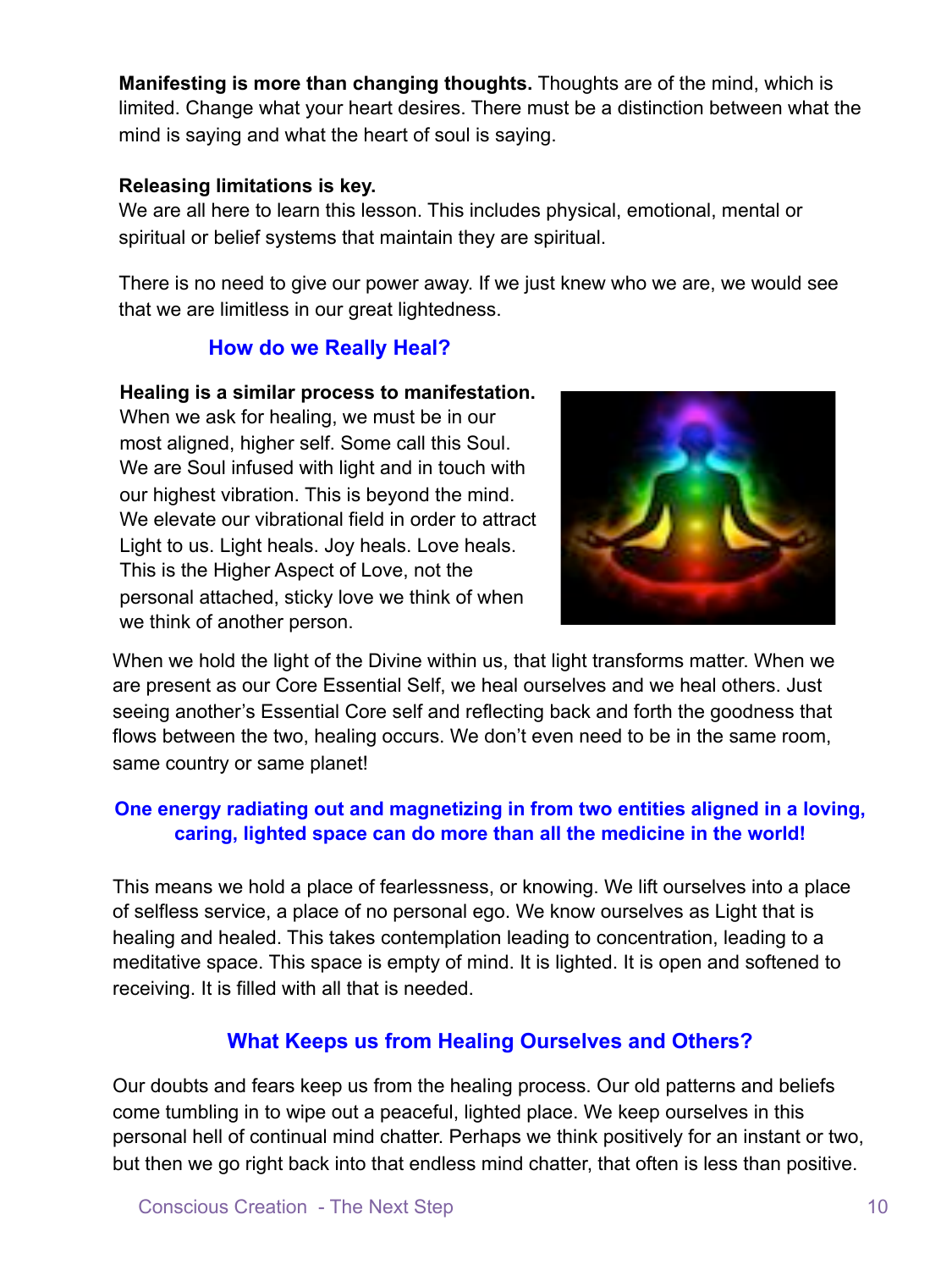**Manifesting is more than changing thoughts.** Thoughts are of the mind, which is limited. Change what your heart desires. There must be a distinction between what the mind is saying and what the heart of soul is saying.

#### **Releasing limitations is key.**

We are all here to learn this lesson. This includes physical, emotional, mental or spiritual or belief systems that maintain they are spiritual.

There is no need to give our power away. If we just knew who we are, we would see that we are limitless in our great lightedness.

# **How do we Really Heal?**

#### **Healing is a similar process to manifestation.**

When we ask for healing, we must be in our most aligned, higher self. Some call this Soul. We are Soul infused with light and in touch with our highest vibration. This is beyond the mind. We elevate our vibrational field in order to attract Light to us. Light heals. Joy heals. Love heals. This is the Higher Aspect of Love, not the personal attached, sticky love we think of when we think of another person.



When we hold the light of the Divine within us, that light transforms matter. When we are present as our Core Essential Self, we heal ourselves and we heal others. Just seeing another's Essential Core self and reflecting back and forth the goodness that flows between the two, healing occurs. We don't even need to be in the same room, same country or same planet!

## **One energy radiating out and magnetizing in from two entities aligned in a loving, caring, lighted space can do more than all the medicine in the world!**

This means we hold a place of fearlessness, or knowing. We lift ourselves into a place of selfless service, a place of no personal ego. We know ourselves as Light that is healing and healed. This takes contemplation leading to concentration, leading to a meditative space. This space is empty of mind. It is lighted. It is open and softened to receiving. It is filled with all that is needed.

# **What Keeps us from Healing Ourselves and Others?**

Our doubts and fears keep us from the healing process. Our old patterns and beliefs come tumbling in to wipe out a peaceful, lighted place. We keep ourselves in this personal hell of continual mind chatter. Perhaps we think positively for an instant or two, but then we go right back into that endless mind chatter, that often is less than positive.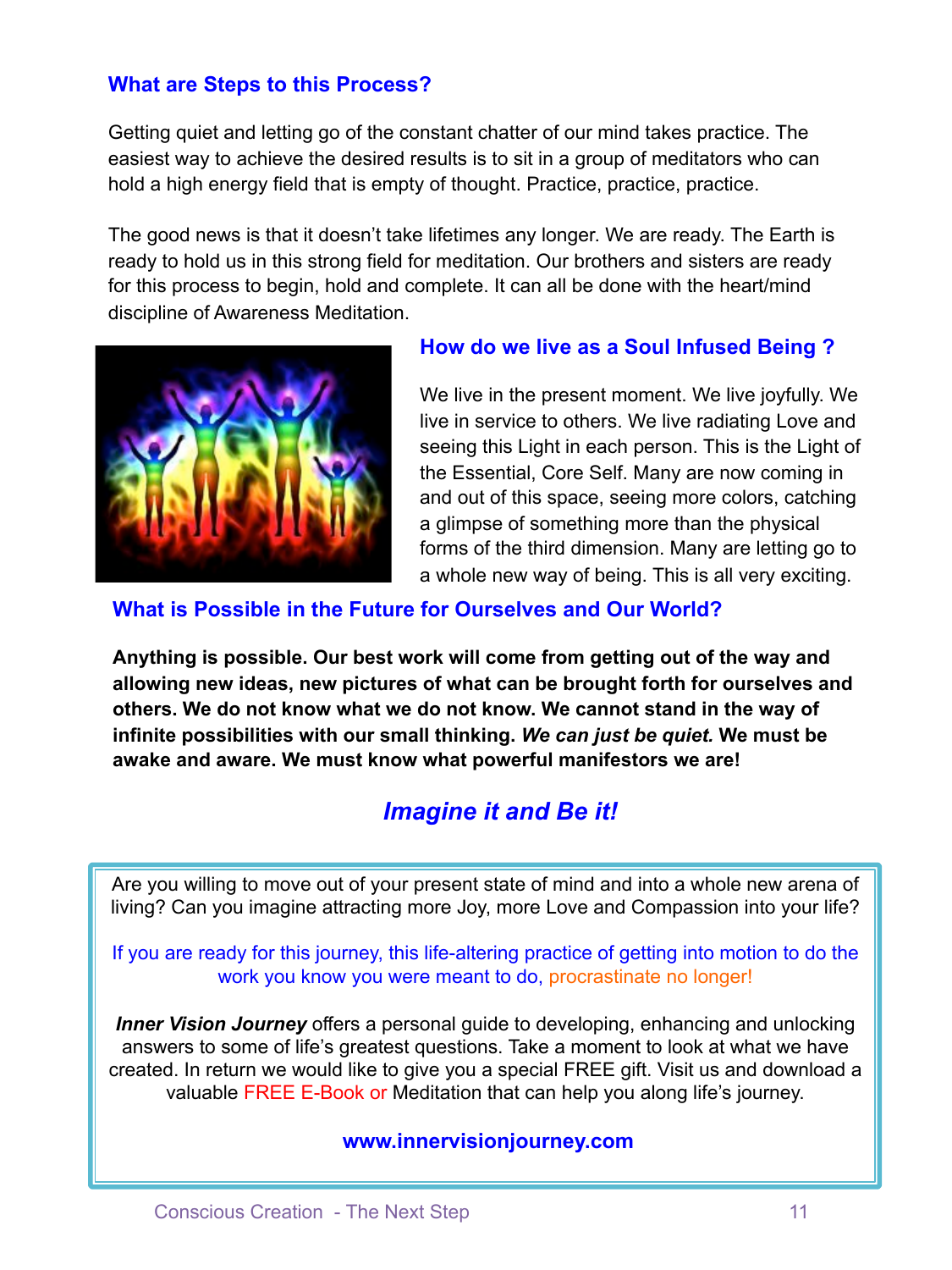# **What are Steps to this Process?**

Getting quiet and letting go of the constant chatter of our mind takes practice. The easiest way to achieve the desired results is to sit in a group of meditators who can hold a high energy field that is empty of thought. Practice, practice, practice.

The good news is that it doesn't take lifetimes any longer. We are ready. The Earth is ready to hold us in this strong field for meditation. Our brothers and sisters are ready for this process to begin, hold and complete. It can all be done with the heart/mind discipline of Awareness Meditation.



#### **How do we live as a Soul Infused Being ?**

We live in the present moment. We live joyfully. We live in service to others. We live radiating Love and seeing this Light in each person. This is the Light of the Essential, Core Self. Many are now coming in and out of this space, seeing more colors, catching a glimpse of something more than the physical forms of the third dimension. Many are letting go to a whole new way of being. This is all very exciting.

#### **What is Possible in the Future for Ourselves and Our World?**

**Anything is possible. Our best work will come from getting out of the way and allowing new ideas, new pictures of what can be brought forth for ourselves and others. We do not know what we do not know. We cannot stand in the way of infinite possibilities with our small thinking.** *We can just be quiet.* **We must be awake and aware. We must know what powerful manifestors we are!** 

# *Imagine it and Be it!*

Are you willing to move out of your present state of mind and into a whole new arena of living? Can you imagine attracting more Joy, more Love and Compassion into your life?

#### If you are ready for this journey, this life-altering practice of getting into motion to do the work you know you were meant to do, procrastinate no longer!

**Inner Vision Journey** offers a personal guide to developing, enhancing and unlocking answers to some of life's greatest questions. Take a moment to look at what we have created. In return we would like to give you a special FREE gift. Visit us and download a valuable FREE E-Book or Meditation that can help you along life's journey.

#### **www.innervisionjourney.com**